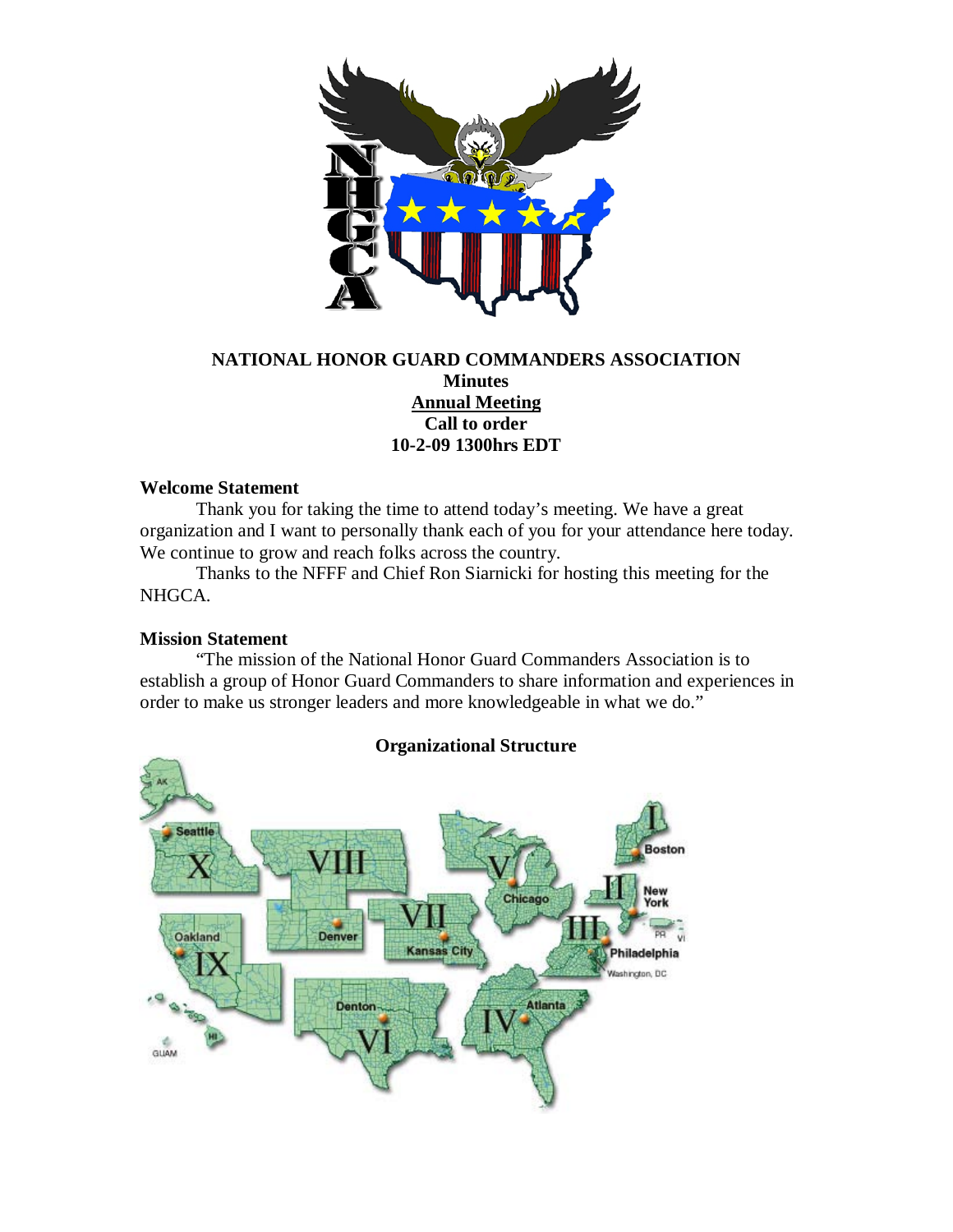

# **NATIONAL HONOR GUARD COMMANDERS ASSOCIATION Minutes Annual Meeting Call to order 10-2-09 1300hrs EDT**

## **Welcome Statement**

Thank you for taking the time to attend today's meeting. We have a great organization and I want to personally thank each of you for your attendance here today. We continue to grow and reach folks across the country.

Thanks to the NFFF and Chief Ron Siarnicki for hosting this meeting for the NHGCA.

### **Mission Statement**

"The mission of the National Honor Guard Commanders Association is to establish a group of Honor Guard Commanders to share information and experiences in order to make us stronger leaders and more knowledgeable in what we do."



# **Organizational Structure**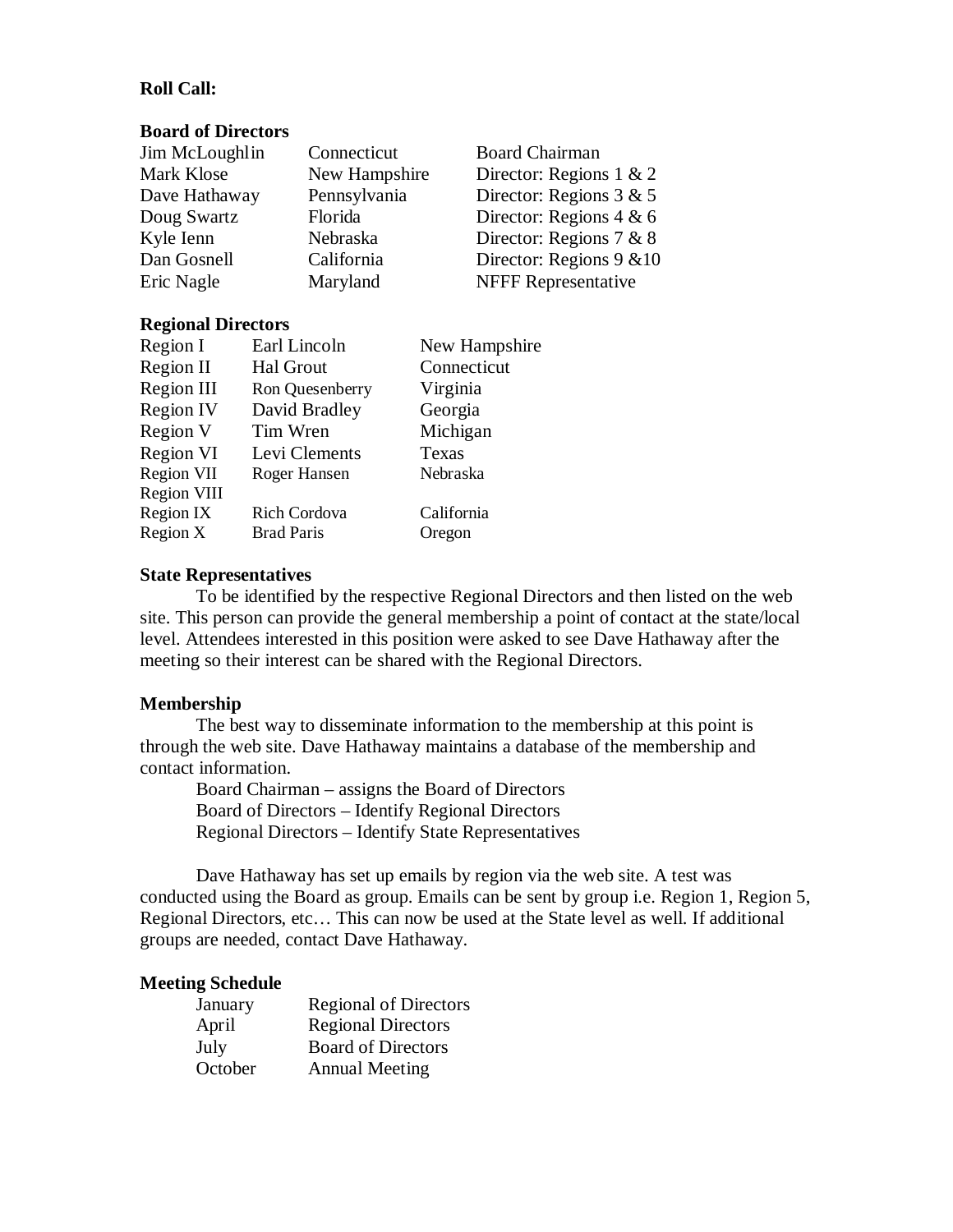# **Roll Call:**

#### **Board of Directors**

| Jim McLoughlin | Connecticut   | <b>Board Chairman</b>      |
|----------------|---------------|----------------------------|
| Mark Klose     | New Hampshire | Director: Regions $1 \& 2$ |
| Dave Hathaway  | Pennsylvania  | Director: Regions $3 & 5$  |
| Doug Swartz    | Florida       | Director: Regions $4 & 6$  |
| Kyle Ienn      | Nebraska      | Director: Regions $7 & 8$  |
| Dan Gosnell    | California    | Director: Regions 9 & 10   |
| Eric Nagle     | Maryland      | <b>NFFF</b> Representative |

## **Regional Directors**

| Region I           | Earl Lincoln      | New Hampshire |
|--------------------|-------------------|---------------|
| Region II          | <b>Hal Grout</b>  | Connecticut   |
| Region III         | Ron Quesenberry   | Virginia      |
| <b>Region IV</b>   | David Bradley     | Georgia       |
| Region V           | Tim Wren          | Michigan      |
| Region VI          | Levi Clements     | Texas         |
| Region VII         | Roger Hansen      | Nebraska      |
| <b>Region VIII</b> |                   |               |
| Region IX          | Rich Cordova      | California    |
| Region X           | <b>Brad Paris</b> | Oregon        |

#### **State Representatives**

To be identified by the respective Regional Directors and then listed on the web site. This person can provide the general membership a point of contact at the state/local level. Attendees interested in this position were asked to see Dave Hathaway after the meeting so their interest can be shared with the Regional Directors.

## **Membership**

The best way to disseminate information to the membership at this point is through the web site. Dave Hathaway maintains a database of the membership and contact information.

Board Chairman – assigns the Board of Directors Board of Directors – Identify Regional Directors Regional Directors – Identify State Representatives

Dave Hathaway has set up emails by region via the web site. A test was conducted using the Board as group. Emails can be sent by group i.e. Region 1, Region 5, Regional Directors, etc… This can now be used at the State level as well. If additional groups are needed, contact Dave Hathaway.

#### **Meeting Schedule**

| January | <b>Regional of Directors</b> |
|---------|------------------------------|
| April   | <b>Regional Directors</b>    |
| July    | <b>Board of Directors</b>    |
| October | <b>Annual Meeting</b>        |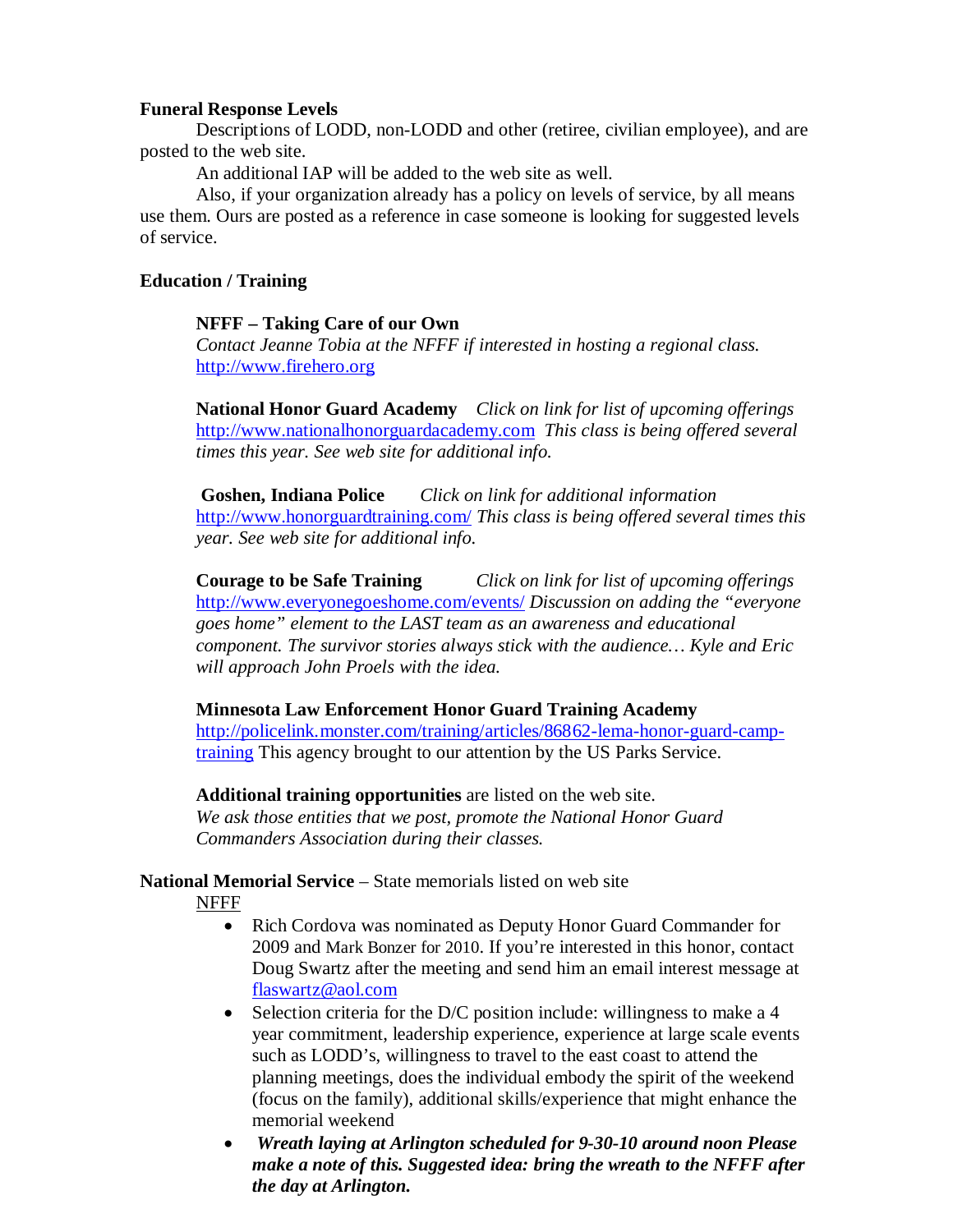### **Funeral Response Levels**

Descriptions of LODD, non-LODD and other (retiree, civilian employee), and are posted to the web site.

An additional IAP will be added to the web site as well.

Also, if your organization already has a policy on levels of service, by all means use them. Ours are posted as a reference in case someone is looking for suggested levels of service.

# **Education / Training**

## **NFFF – Taking Care of our Own**

*Contact Jeanne Tobia at the NFFF if interested in hosting a regional class.* [http://www.firehero.org](http://www.firehero.org/)

**National Honor Guard Academy** *Click on link for list of upcoming offerings* [http://www.nationalhonorguardacademy.com](http://www.nationalhonorguardacademy.com/) *This class is being offered several times this year. See web site for additional info.*

**Goshen, Indiana Police** *Click on link for additional information* <http://www.honorguardtraining.com/> *This class is being offered several times this year. See web site for additional info.*

**Courage to be Safe Training** *Click on link for list of upcoming offerings* <http://www.everyonegoeshome.com/events/> *Discussion on adding the "everyone goes home" element to the LAST team as an awareness and educational component. The survivor stories always stick with the audience… Kyle and Eric will approach John Proels with the idea.*

# **Minnesota Law Enforcement Honor Guard Training Academy**

[http://policelink.monster.com/training/articles/86862-lema-honor-guard-camp](http://policelink.monster.com/training/articles/86862-lema-honor-guard-camp-training)[training](http://policelink.monster.com/training/articles/86862-lema-honor-guard-camp-training) This agency brought to our attention by the US Parks Service.

**Additional training opportunities** are listed on the web site. *We ask those entities that we post, promote the National Honor Guard Commanders Association during their classes.* 

# **National Memorial Service** – State memorials listed on web site

NFFF

- Rich Cordova was nominated as Deputy Honor Guard Commander for 2009 and Mark Bonzer for 2010. If you're interested in this honor, contact Doug Swartz after the meeting and send him an email interest message at [flaswartz@aol.com](mailto:flaswartz@aol.com)
- Selection criteria for the D/C position include: willingness to make a 4 year commitment, leadership experience, experience at large scale events such as LODD's, willingness to travel to the east coast to attend the planning meetings, does the individual embody the spirit of the weekend (focus on the family), additional skills/experience that might enhance the memorial weekend
- *Wreath laying at Arlington scheduled for 9-30-10 around noon Please make a note of this. Suggested idea: bring the wreath to the NFFF after the day at Arlington.*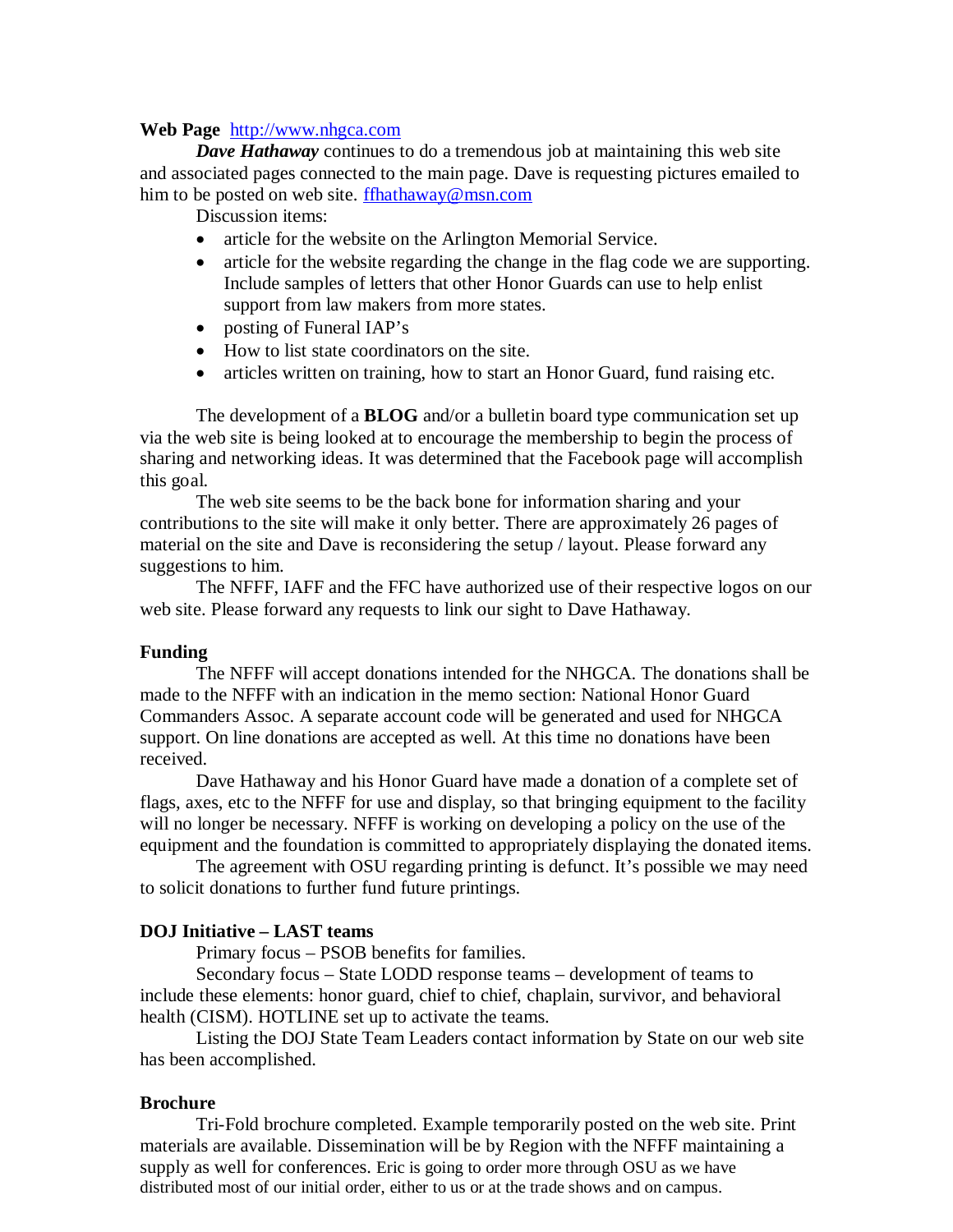#### **Web Page** [http://www.nhgca.com](http://www.nhgca.com/)

*Dave Hathaway* continues to do a tremendous job at maintaining this web site and associated pages connected to the main page. Dave is requesting pictures emailed to him to be posted on web site. [ffhathaway@msn.com](mailto:ffhathaway@msn.com)

Discussion items:

- article for the website on the Arlington Memorial Service.
- article for the website regarding the change in the flag code we are supporting. Include samples of letters that other Honor Guards can use to help enlist support from law makers from more states.
- posting of Funeral IAP's
- How to list state coordinators on the site.
- articles written on training, how to start an Honor Guard, fund raising etc.

The development of a **BLOG** and/or a bulletin board type communication set up via the web site is being looked at to encourage the membership to begin the process of sharing and networking ideas. It was determined that the Facebook page will accomplish this goal.

The web site seems to be the back bone for information sharing and your contributions to the site will make it only better. There are approximately 26 pages of material on the site and Dave is reconsidering the setup / layout. Please forward any suggestions to him.

The NFFF, IAFF and the FFC have authorized use of their respective logos on our web site. Please forward any requests to link our sight to Dave Hathaway.

### **Funding**

The NFFF will accept donations intended for the NHGCA. The donations shall be made to the NFFF with an indication in the memo section: National Honor Guard Commanders Assoc. A separate account code will be generated and used for NHGCA support. On line donations are accepted as well. At this time no donations have been received.

Dave Hathaway and his Honor Guard have made a donation of a complete set of flags, axes, etc to the NFFF for use and display, so that bringing equipment to the facility will no longer be necessary. NFFF is working on developing a policy on the use of the equipment and the foundation is committed to appropriately displaying the donated items.

The agreement with OSU regarding printing is defunct. It's possible we may need to solicit donations to further fund future printings.

### **DOJ Initiative – LAST teams**

Primary focus – PSOB benefits for families.

Secondary focus – State LODD response teams – development of teams to include these elements: honor guard, chief to chief, chaplain, survivor, and behavioral health (CISM). HOTLINE set up to activate the teams.

Listing the DOJ State Team Leaders contact information by State on our web site has been accomplished.

### **Brochure**

Tri-Fold brochure completed. Example temporarily posted on the web site. Print materials are available. Dissemination will be by Region with the NFFF maintaining a supply as well for conferences. Eric is going to order more through OSU as we have distributed most of our initial order, either to us or at the trade shows and on campus.